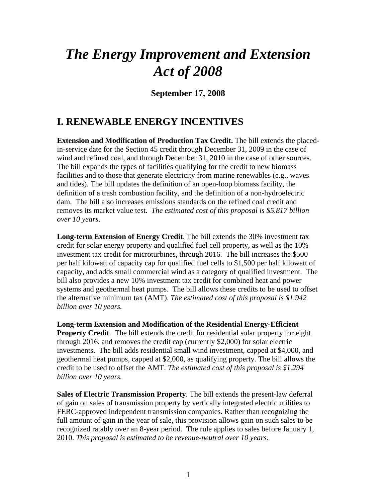# *The Energy Improvement and Extension Act of 2008*

**September 17, 2008** 

#### **I. RENEWABLE ENERGY INCENTIVES**

**Extension and Modification of Production Tax Credit.** The bill extends the placedin-service date for the Section 45 credit through December 31, 2009 in the case of wind and refined coal, and through December 31, 2010 in the case of other sources. The bill expands the types of facilities qualifying for the credit to new biomass facilities and to those that generate electricity from marine renewables (e.g., waves and tides). The bill updates the definition of an open-loop biomass facility, the definition of a trash combustion facility, and the definition of a non-hydroelectric dam. The bill also increases emissions standards on the refined coal credit and removes its market value test. *The estimated cost of this proposal is \$5.817 billion over 10 years*.

**Long-term Extension of Energy Credit**. The bill extends the 30% investment tax credit for solar energy property and qualified fuel cell property, as well as the 10% investment tax credit for microturbines, through 2016. The bill increases the \$500 per half kilowatt of capacity cap for qualified fuel cells to \$1,500 per half kilowatt of capacity, and adds small commercial wind as a category of qualified investment. The bill also provides a new 10% investment tax credit for combined heat and power systems and geothermal heat pumps. The bill allows these credits to be used to offset the alternative minimum tax (AMT). *The estimated cost of this proposal is \$1.942 billion over 10 years.* 

**Long-term Extension and Modification of the Residential Energy-Efficient Property Credit**. The bill extends the credit for residential solar property for eight through 2016, and removes the credit cap (currently \$2,000) for solar electric investments. The bill adds residential small wind investment, capped at \$4,000, and geothermal heat pumps, capped at \$2,000, as qualifying property. The bill allows the credit to be used to offset the AMT. *The estimated cost of this proposal is \$1.294 billion over 10 years.* 

**Sales of Electric Transmission Property**. The bill extends the present-law deferral of gain on sales of transmission property by vertically integrated electric utilities to FERC-approved independent transmission companies. Rather than recognizing the full amount of gain in the year of sale, this provision allows gain on such sales to be recognized ratably over an 8-year period. The rule applies to sales before January 1, 2010. *This proposal is estimated to be revenue-neutral over 10 years.*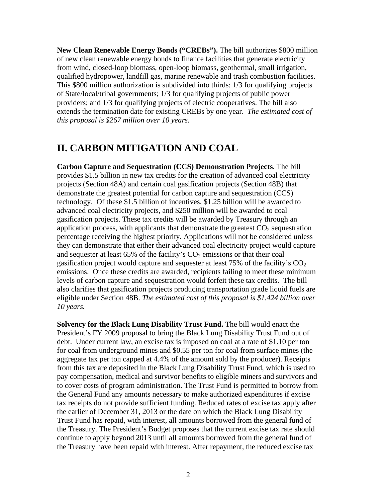**New Clean Renewable Energy Bonds ("CREBs").** The bill authorizes \$800 million of new clean renewable energy bonds to finance facilities that generate electricity from wind, closed-loop biomass, open-loop biomass, geothermal, small irrigation, qualified hydropower, landfill gas, marine renewable and trash combustion facilities. This \$800 million authorization is subdivided into thirds: 1/3 for qualifying projects of State/local/tribal governments; 1/3 for qualifying projects of public power providers; and 1/3 for qualifying projects of electric cooperatives. The bill also extends the termination date for existing CREBs by one year. *The estimated cost of this proposal is \$267 million over 10 years.* 

#### **II. CARBON MITIGATION AND COAL**

**Carbon Capture and Sequestration (CCS) Demonstration Projects**. The bill provides \$1.5 billion in new tax credits for the creation of advanced coal electricity projects (Section 48A) and certain coal gasification projects (Section 48B) that demonstrate the greatest potential for carbon capture and sequestration (CCS) technology. Of these \$1.5 billion of incentives, \$1.25 billion will be awarded to advanced coal electricity projects, and \$250 million will be awarded to coal gasification projects. These tax credits will be awarded by Treasury through an application process, with applicants that demonstrate the greatest  $CO<sub>2</sub>$  sequestration percentage receiving the highest priority. Applications will not be considered unless they can demonstrate that either their advanced coal electricity project would capture and sequester at least  $65\%$  of the facility's  $CO<sub>2</sub>$  emissions or that their coal gasification project would capture and sequester at least  $75\%$  of the facility's  $CO<sub>2</sub>$ emissions. Once these credits are awarded, recipients failing to meet these minimum levels of carbon capture and sequestration would forfeit these tax credits. The bill also clarifies that gasification projects producing transportation grade liquid fuels are eligible under Section 48B. *The estimated cost of this proposal is \$1.424 billion over 10 years.* 

**Solvency for the Black Lung Disability Trust Fund.** The bill would enact the President's FY 2009 proposal to bring the Black Lung Disability Trust Fund out of debt. Under current law, an excise tax is imposed on coal at a rate of \$1.10 per ton for coal from underground mines and \$0.55 per ton for coal from surface mines (the aggregate tax per ton capped at 4.4% of the amount sold by the producer). Receipts from this tax are deposited in the Black Lung Disability Trust Fund, which is used to pay compensation, medical and survivor benefits to eligible miners and survivors and to cover costs of program administration. The Trust Fund is permitted to borrow from the General Fund any amounts necessary to make authorized expenditures if excise tax receipts do not provide sufficient funding. Reduced rates of excise tax apply after the earlier of December 31, 2013 or the date on which the Black Lung Disability Trust Fund has repaid, with interest, all amounts borrowed from the general fund of the Treasury. The President's Budget proposes that the current excise tax rate should continue to apply beyond 2013 until all amounts borrowed from the general fund of the Treasury have been repaid with interest. After repayment, the reduced excise tax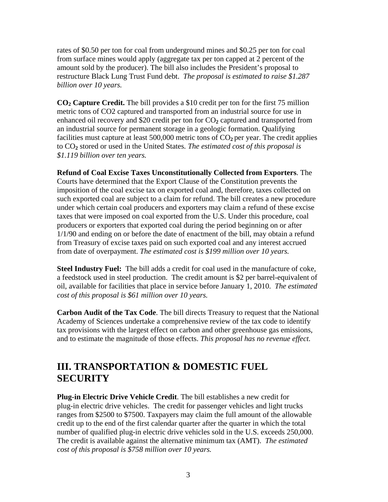rates of \$0.50 per ton for coal from underground mines and \$0.25 per ton for coal from surface mines would apply (aggregate tax per ton capped at 2 percent of the amount sold by the producer). The bill also includes the President's proposal to restructure Black Lung Trust Fund debt. *The proposal is estimated to raise \$1.287 billion over 10 years.* 

**CO2 Capture Credit.** The bill provides a \$10 credit per ton for the first 75 million metric tons of CO2 captured and transported from an industrial source for use in enhanced oil recovery and  $$20$  credit per ton for  $CO<sub>2</sub>$  captured and transported from an industrial source for permanent storage in a geologic formation. Qualifying facilities must capture at least 500,000 metric tons of  $CO<sub>2</sub>$  per year. The credit applies to CO**2** stored or used in the United States*. The estimated cost of this proposal is \$1.119 billion over ten years.* 

**Refund of Coal Excise Taxes Unconstitutionally Collected from Exporters**. The Courts have determined that the Export Clause of the Constitution prevents the imposition of the coal excise tax on exported coal and, therefore, taxes collected on such exported coal are subject to a claim for refund. The bill creates a new procedure under which certain coal producers and exporters may claim a refund of these excise taxes that were imposed on coal exported from the U.S. Under this procedure, coal producers or exporters that exported coal during the period beginning on or after 1/1/90 and ending on or before the date of enactment of the bill, may obtain a refund from Treasury of excise taxes paid on such exported coal and any interest accrued from date of overpayment. *The estimated cost is \$199 million over 10 years.* 

**Steel Industry Fuel:** The bill adds a credit for coal used in the manufacture of coke, a feedstock used in steel production. The credit amount is \$2 per barrel-equivalent of oil, available for facilities that place in service before January 1, 2010. *The estimated cost of this proposal is \$61 million over 10 years.* 

**Carbon Audit of the Tax Code**. The bill directs Treasury to request that the National Academy of Sciences undertake a comprehensive review of the tax code to identify tax provisions with the largest effect on carbon and other greenhouse gas emissions, and to estimate the magnitude of those effects. *This proposal has no revenue effect.* 

## **III. TRANSPORTATION & DOMESTIC FUEL SECURITY**

**Plug-in Electric Drive Vehicle Credit**. The bill establishes a new credit for plug-in electric drive vehicles. The credit for passenger vehicles and light trucks ranges from \$2500 to \$7500. Taxpayers may claim the full amount of the allowable credit up to the end of the first calendar quarter after the quarter in which the total number of qualified plug-in electric drive vehicles sold in the U.S. exceeds 250,000. The credit is available against the alternative minimum tax (AMT). *The estimated cost of this proposal is \$758 million over 10 years.*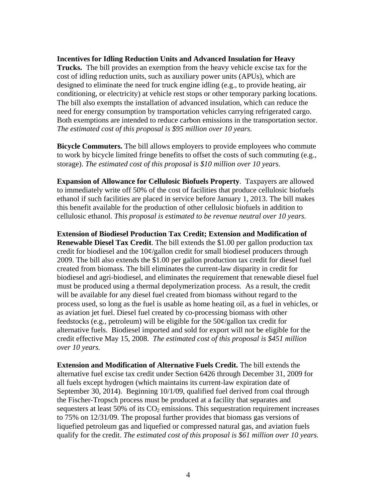#### **Incentives for Idling Reduction Units and Advanced Insulation for Heavy**

**Trucks.** The bill provides an exemption from the heavy vehicle excise tax for the cost of idling reduction units, such as auxiliary power units (APUs), which are designed to eliminate the need for truck engine idling (e.g., to provide heating, air conditioning, or electricity) at vehicle rest stops or other temporary parking locations. The bill also exempts the installation of advanced insulation, which can reduce the need for energy consumption by transportation vehicles carrying refrigerated cargo. Both exemptions are intended to reduce carbon emissions in the transportation sector. *The estimated cost of this proposal is \$95 million over 10 years.* 

**Bicycle Commuters.** The bill allows employers to provide employees who commute to work by bicycle limited fringe benefits to offset the costs of such commuting (e.g., storage). *The estimated cost of this proposal is \$10 million over 10 years.*

**Expansion of Allowance for Cellulosic Biofuels Property**. Taxpayers are allowed to immediately write off 50% of the cost of facilities that produce cellulosic biofuels ethanol if such facilities are placed in service before January 1, 2013. The bill makes this benefit available for the production of other cellulosic biofuels in addition to cellulosic ethanol. *This proposal is estimated to be revenue neutral over 10 years.*

**Extension of Biodiesel Production Tax Credit; Extension and Modification of Renewable Diesel Tax Credit**. The bill extends the \$1.00 per gallon production tax credit for biodiesel and the 10¢/gallon credit for small biodiesel producers through 2009. The bill also extends the \$1.00 per gallon production tax credit for diesel fuel created from biomass. The bill eliminates the current-law disparity in credit for biodiesel and agri-biodiesel, and eliminates the requirement that renewable diesel fuel must be produced using a thermal depolymerization process. As a result, the credit will be available for any diesel fuel created from biomass without regard to the process used, so long as the fuel is usable as home heating oil, as a fuel in vehicles, or as aviation jet fuel. Diesel fuel created by co-processing biomass with other feedstocks (e.g., petroleum) will be eligible for the 50¢/gallon tax credit for alternative fuels. Biodiesel imported and sold for export will not be eligible for the credit effective May 15, 2008. *The estimated cost of this proposal is \$451 million over 10 years.* 

**Extension and Modification of Alternative Fuels Credit.** The bill extends the alternative fuel excise tax credit under Section 6426 through December 31, 2009 for all fuels except hydrogen (which maintains its current-law expiration date of September 30, 2014). Beginning 10/1/09, qualified fuel derived from coal through the Fischer-Tropsch process must be produced at a facility that separates and sequesters at least 50% of its  $CO<sub>2</sub>$  emissions. This sequestration requirement increases to 75% on 12/31/09. The proposal further provides that biomass gas versions of liquefied petroleum gas and liquefied or compressed natural gas, and aviation fuels qualify for the credit. *The estimated cost of this proposal is \$61 million over 10 years.*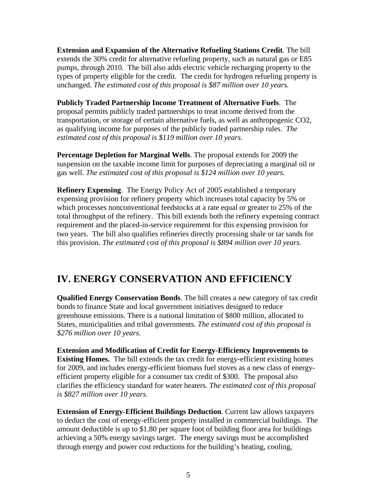**Extension and Expansion of the Alternative Refueling Stations Credit**. The bill extends the 30% credit for alternative refueling property, such as natural gas or E85 pumps, through 2010. The bill also adds electric vehicle recharging property to the types of property eligible for the credit. The credit for hydrogen refueling property is unchanged. *The estimated cost of this proposal is \$87 million over 10 years.* 

**Publicly Traded Partnership Income Treatment of Alternative Fuels**. The proposal permits publicly traded partnerships to treat income derived from the transportation, or storage of certain alternative fuels, as well as anthropogenic CO2, as qualifying income for purposes of the publicly traded partnership rules. *The estimated cost of this proposal is \$119 million over 10 years.* 

**Percentage Depletion for Marginal Wells**. The proposal extends for 2009 the suspension on the taxable income limit for purposes of depreciating a marginal oil or gas well. *The estimated cost of this proposal is \$124 million over 10 years.*

**Refinery Expensing**. The Energy Policy Act of 2005 established a temporary expensing provision for refinery property which increases total capacity by 5% or which processes nonconventional feedstocks at a rate equal or greater to 25% of the total throughput of the refinery. This bill extends both the refinery expensing contract requirement and the placed-in-service requirement for this expensing provision for two years. The bill also qualifies refineries directly processing shale or tar sands for this provision. *The estimated cost of this proposal is \$894 million over 10 years.* 

### **IV. ENERGY CONSERVATION AND EFFICIENCY**

**Qualified Energy Conservation Bonds**. The bill creates a new category of tax credit bonds to finance State and local government initiatives designed to reduce greenhouse emissions. There is a national limitation of \$800 million, allocated to States, municipalities and tribal governments*. The estimated cost of this proposal is \$276 million over 10 years.* 

**Extension and Modification of Credit for Energy-Efficiency Improvements to Existing Homes.** The bill extends the tax credit for energy-efficient existing homes for 2009, and includes energy-efficient biomass fuel stoves as a new class of energyefficient property eligible for a consumer tax credit of \$300. The proposal also clarifies the efficiency standard for water heaters*. The estimated cost of this proposal is \$827 million over 10 years.* 

**Extension of Energy-Efficient Buildings Deduction**. Current law allows taxpayers to deduct the cost of energy-efficient property installed in commercial buildings. The amount deductible is up to \$1.80 per square foot of building floor area for buildings achieving a 50% energy savings target. The energy savings must be accomplished through energy and power cost reductions for the building's heating, cooling,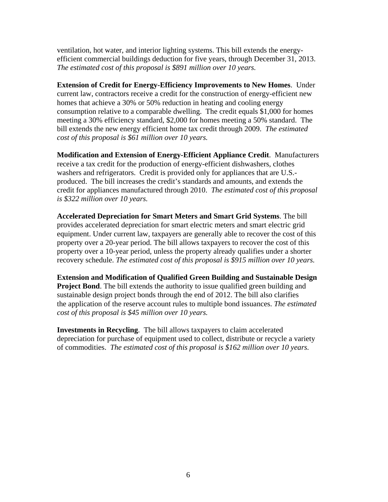ventilation, hot water, and interior lighting systems. This bill extends the energyefficient commercial buildings deduction for five years, through December 31, 2013. *The estimated cost of this proposal is \$891 million over 10 years.*

**Extension of Credit for Energy-Efficiency Improvements to New Homes**. Under current law, contractors receive a credit for the construction of energy-efficient new homes that achieve a 30% or 50% reduction in heating and cooling energy consumption relative to a comparable dwelling. The credit equals \$1,000 for homes meeting a 30% efficiency standard, \$2,000 for homes meeting a 50% standard. The bill extends the new energy efficient home tax credit through 2009. *The estimated cost of this proposal is \$61 million over 10 years.* 

**Modification and Extension of Energy-Efficient Appliance Credit**. Manufacturers receive a tax credit for the production of energy-efficient dishwashers, clothes washers and refrigerators. Credit is provided only for appliances that are U.S. produced. The bill increases the credit's standards and amounts, and extends the credit for appliances manufactured through 2010. *The estimated cost of this proposal is \$322 million over 10 years.*

**Accelerated Depreciation for Smart Meters and Smart Grid Systems**. The bill provides accelerated depreciation for smart electric meters and smart electric grid equipment. Under current law, taxpayers are generally able to recover the cost of this property over a 20-year period. The bill allows taxpayers to recover the cost of this property over a 10-year period, unless the property already qualifies under a shorter recovery schedule. *The estimated cost of this proposal is \$915 million over 10 years.* 

**Extension and Modification of Qualified Green Building and Sustainable Design Project Bond.** The bill extends the authority to issue qualified green building and sustainable design project bonds through the end of 2012. The bill also clarifies the application of the reserve account rules to multiple bond issuances. *The estimated cost of this proposal is \$45 million over 10 years.* 

**Investments in Recycling**. The bill allows taxpayers to claim accelerated depreciation for purchase of equipment used to collect, distribute or recycle a variety of commodities. *The estimated cost of this proposal is \$162 million over 10 years.*